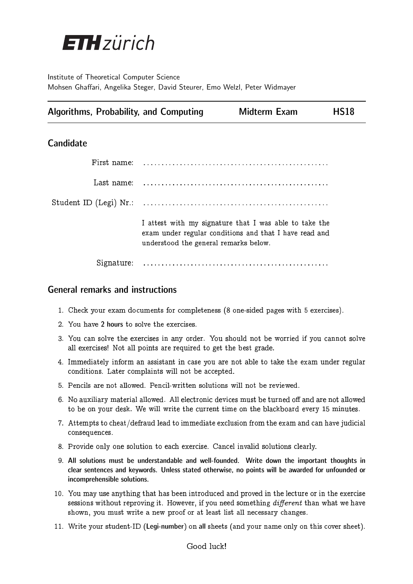# **ETH** zürich

Institute of Theoretical Computer Science Mohsen Ghaffari, Angelika Steger, David Steurer, Emo Welzl, Peter Widmayer

|  | Algorithms, Probability, and Computing | Midterm Exam | <b>HS18</b> |
|--|----------------------------------------|--------------|-------------|
|  |                                        |              |             |

### Candidate

| First name: |                                                                                                                                                           |
|-------------|-----------------------------------------------------------------------------------------------------------------------------------------------------------|
| Last name:  |                                                                                                                                                           |
|             |                                                                                                                                                           |
|             | I attest with my signature that I was able to take the<br>exam under regular conditions and that I have read and<br>understood the general remarks below. |
| Signature:  |                                                                                                                                                           |

### General remarks and instructions

- 1. Check your exam documents for completeness (8 one-sided pages with 5 exercises).
- 2. You have 2 hours to solve the exer
ises.
- 3. You an solve the exer
ises in any order. You should not be worried if you annot solve all exer
ises! Not all points are required to get the best grade.
- 4. Immediately inform an assistant in case you are not able to take the exam under regular conditions. Later complaints will not be accepted.
- 5. Pen
ils are not allowed. Pen
il-written solutions will not be reviewed.
- 6. No auxiliary material allowed. All electronic devices must be turned off and are not allowed to be on your desk. We will write the current time on the blackboard every 15 minutes.
- 7. Attempts to cheat/defraud lead to immediate exclusion from the exam and can have judicial onsequen
es.
- 8. Provide only one solution to ea
h exer
ise. Can
el invalid solutions learly.
- 9. All solutions must be understandable and well-founded. Write down the important thoughts in clear sentences and keywords. Unless stated otherwise, no points will be awarded for unfounded or incomprehensible solutions.
- 10. You may use anything that has been introduced and proved in the lecture or in the exercise sessions without reproving it. However, if you need something  $differential$  than what we have shown, you must write a new proof or at least list all ne
essary hanges.
- 11. Write your student-ID (Legi-number) on all sheets (and your name only on this cover sheet).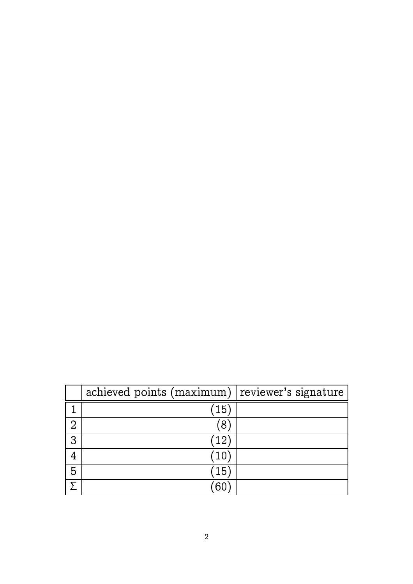|                | achieved points $(\text{maximum})$ reviewer's signature |  |
|----------------|---------------------------------------------------------|--|
|                | 15                                                      |  |
| $\overline{2}$ | 8                                                       |  |
| 3              | $\left(12\right)$                                       |  |
|                | (10                                                     |  |
| 5              | (15                                                     |  |
|                |                                                         |  |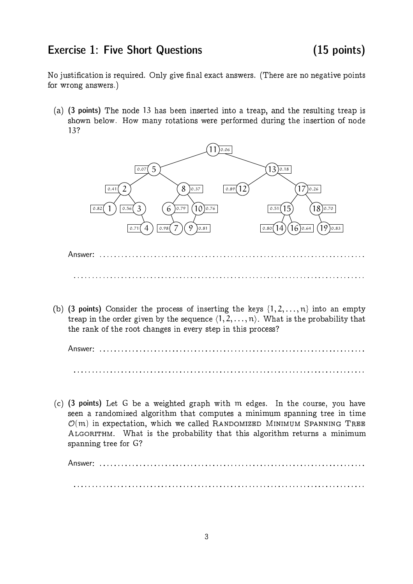# Exercise 1: Five Short Questions (15 points)

No justification is required. Only give final exact answers. (There are no negative points for wrong answers.)

(a) (3 points) The node 13 has been inserted into a treap, and the resulting treap is shown below. How many rotations were performed during the insertion of node 13?



(b) (3 points) Consider the process of inserting the keys  $\{1, 2, ..., n\}$  into an empty treap in the order given by the sequence  $\langle 1, 2, \ldots, n \rangle$ . What is the probability that the rank of the root changes in every step in this process?

Answer: . . . . . . . . . . . . . . . . . . . . . . . . . . . . . . . . . . . . . . . . . . . . . . . . . . . . . . . . . . . . . . . . . . . . . . . . . 

(
) (3 points) Let G be a weighted graph with m edges. In the ourse, you have seen a randomized algorithm that omputes a minimum spanning tree in time  $\mathcal{O}(m)$  in expectation, which we called RANDOMIZED MINIMUM SPANNING TREE Algorithm. What is the probability that this algorithm returns a minimum spanning tree for G?

Answer: . . . . . . . . . . . . . . . . . . . . . . . . . . . . . . . . . . . . . . . . . . . . . . . . . . . . . . . . . . . . . . . . . . . . . . . . .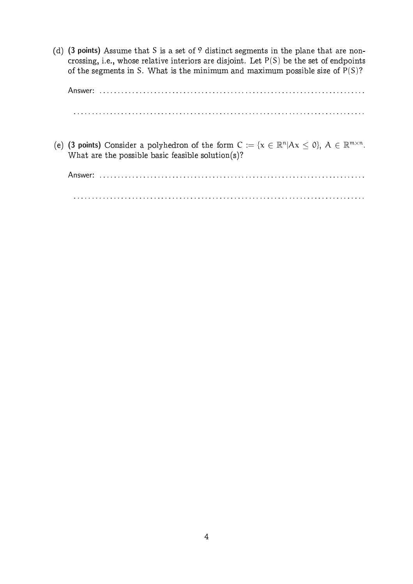(d) (3 points) Assume that S is a set of 9 distinct segments in the plane that are noncrossing, i.e., whose relative interiors are disjoint. Let  $P(S)$  be the set of endpoints of the segments in S. What is the minimum and maximum possible size of  $P(S)$ ?

Answer: . . . . . . . . . . . . . . . . . . . . . . . . . . . . . . . . . . . . . . . . . . . . . . . . . . . . . . . . . . . . . . . . . . . . . . . . .

. . . . . . . . . . . . . . . . . . . . . . . . . . . . . . . . . . . . . . . . . . . . . . . . . . . . . . . . . . . . . . . . . . . . . . . . . . . . . . . .

(e) (3 points) Consider a polyhedron of the form  $C := \{x \in \mathbb{R}^n | Ax \leq 0\}, A \in \mathbb{R}^{m \times n}$ . What are the possible basic feasible solution(s)?

Answer: . . . . . . . . . . . . . . . . . . . . . . . . . . . . . . . . . . . . . . . . . . . . . . . . . . . . . . . . . . . . . . . . . . . . . . . . .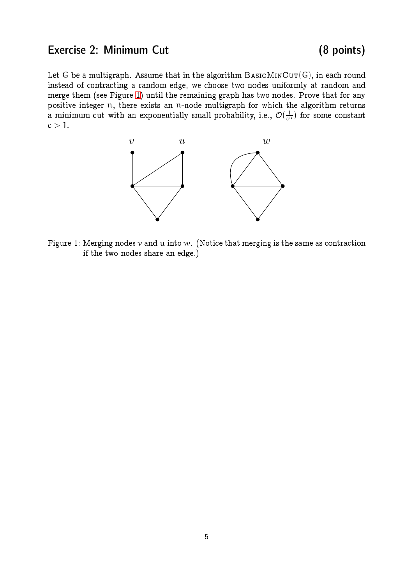# Exercise 2: Minimum Cut (8 points)

<span id="page-4-0"></span>Let G be a multigraph. Assume that in the algorithm  $\text{BasICMINCUT}(G)$ , in each round instead of ontra
ting a random edge, we hoose two nodes uniformly at random and merge them (see Figure [1\)](#page-4-0) until the remaining graph has two nodes. Prove that for any positive integer n, there exists an n-node multigraph for whi
h the algorithm returns a minimum cut with an exponentially small probability, i.e.,  $\mathcal{O}(\frac{1}{\mathfrak{c}^n})$  for some constant  $c > 1$ .



Figure 1: Merging nodes  $v$  and  $u$  into  $w$ . (Notice that merging is the same as contraction if the two nodes share an edge.)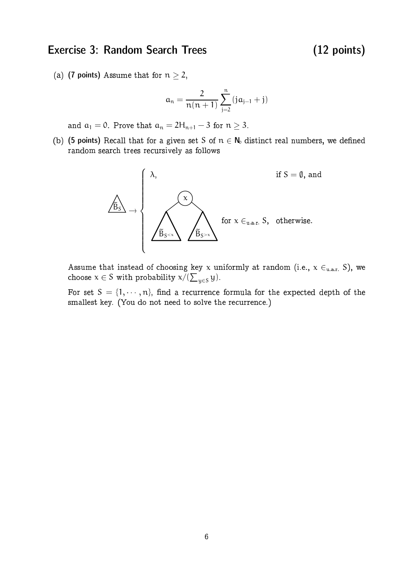# Exercise 3: Random Search Trees (12 points)

(a) (7 points) Assume that for  $n > 2$ ,

$$
\alpha_n = \frac{2}{n(n+1)}\sum_{j=2}^n (j\alpha_{j-1} + j)
$$

and  $a_1 = 0$ . Prove that  $a_n = 2H_{n+1} - 3$  for  $n \ge 3$ .

(b) (5 points) Recall that for a given set S of  $n \in N_0$  distinct real numbers, we defined random sear
h trees re
ursively as follows



Assume that instead of choosing key x uniformly at random (i.e.,  $x \in_{u.a.r.} S$ ), we choose  $x \in S$  with probability  $x/(\sum_{y \in S} y)$ .

For set  $S = \{1, \dots, n\}$ , find a recurrence formula for the expected depth of the smallest key. (You do not need to solve the recurrence.)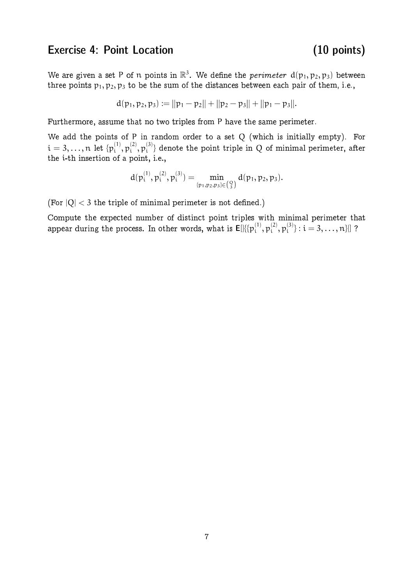## Exercise 4: Point Location (10 points)

We are given a set P of  $\bm{{\mathsf n}}$  points in  $\mathbb{R}^3$ . We define the  $\textit{perimeter}$   $\textit{d}({\mathsf{p}}_1,{\mathsf{p}}_2,{\mathsf{p}}_3)$  between three points  $p_1, p_2, p_3$  to be the sum of the distances between each pair of them, i.e.,

$$
d(p_1, p_2, p_3) := ||p_1 - p_2|| + ||p_2 - p_3|| + ||p_1 - p_3||.
$$

Furthermore, assume that no two triples from P have the same perimeter.

We add the points of P in random order to a set  $Q$  (which is initially empty). For  $\mathfrak{i}=3,\ldots,\mathfrak{n}$  let  $\{\mathfrak{p}_{\mathfrak{i}}^{(1)}\}$  $\binom{11}{}$ ,  $p_i^{(2)}$  $\binom{2}{i}, p_i^{(3)}$  $\binom{[3]}{i}$  denote the point triple in Q of minimal perimeter, after the i-th insertion of a point, i.e.,

$$
d(\boldsymbol{\mathcal{p}}_i^{(1)}, \boldsymbol{\mathcal{p}}_i^{(2)}, \boldsymbol{\mathcal{p}}_i^{(3)}) = \min_{\{\mathfrak{p}_1, \mathfrak{p}_2, \mathfrak{p}_3\} \in \binom{Q}{3}} d(\mathfrak{p}_1, \mathfrak{p}_2, \mathfrak{p}_3).
$$

(For  $|Q| < 3$  the triple of minimal perimeter is not defined.)

Compute the expected number of distinct point triples with minimal perimeter that appear during the process. In other words, what is  $\mathsf{E}[\lvert \{\mathsf{p_i^{(1)}}\} \rvert]$  $\binom{11}{}$ ,  $p_i^{(2)}$  $\mathfrak{p}_i^{(2)}$ ,  $\mathfrak{p}_i^{(3)}$  $\{S_i^{(3)}\}$ :  $i = 3, ..., n$ ||] ?